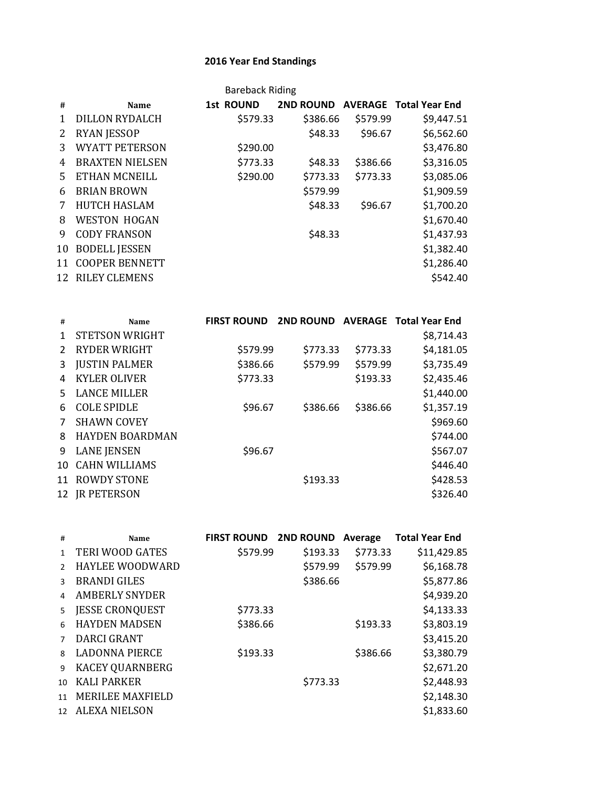## **2016 Year End Standings**

|    | <b>Bareback Riding</b>  |           |          |          |                                  |  |
|----|-------------------------|-----------|----------|----------|----------------------------------|--|
| #  | Name                    | 1st ROUND |          |          | 2ND ROUND AVERAGE Total Year End |  |
| 1  | DILLON RYDALCH          | \$579.33  | \$386.66 | \$579.99 | \$9,447.51                       |  |
| 2  | <b>RYAN JESSOP</b>      |           | \$48.33  | \$96.67  | \$6,562.60                       |  |
| 3  | <b>WYATT PETERSON</b>   | \$290.00  |          |          | \$3,476.80                       |  |
| 4  | <b>BRAXTEN NIELSEN</b>  | \$773.33  | \$48.33  | \$386.66 | \$3,316.05                       |  |
| 5. | ETHAN MCNEILL           | \$290.00  | \$773.33 | \$773.33 | \$3,085.06                       |  |
| 6  | <b>BRIAN BROWN</b>      |           | \$579.99 |          | \$1,909.59                       |  |
| 7  | <b>HUTCH HASLAM</b>     |           | \$48.33  | \$96.67  | \$1,700.20                       |  |
| 8  | <b>WESTON HOGAN</b>     |           |          |          | \$1,670.40                       |  |
| 9  | <b>CODY FRANSON</b>     |           | \$48.33  |          | \$1,437.93                       |  |
| 10 | <b>BODELL JESSEN</b>    |           |          |          | \$1,382.40                       |  |
| 11 | <b>COOPER BENNETT</b>   |           |          |          | \$1,286.40                       |  |
|    | <b>12 RILEY CLEMENS</b> |           |          |          | \$542.40                         |  |
|    |                         |           |          |          |                                  |  |

| #             | Name                   | FIRST ROUND 2ND ROUND AVERAGE Total Year End |          |          |            |
|---------------|------------------------|----------------------------------------------|----------|----------|------------|
| 1             | <b>STETSON WRIGHT</b>  |                                              |          |          | \$8,714.43 |
| $\mathcal{P}$ | <b>RYDER WRIGHT</b>    | \$579.99                                     | \$773.33 | \$773.33 | \$4,181.05 |
| 3             | <b>JUSTIN PALMER</b>   | \$386.66                                     | \$579.99 | \$579.99 | \$3,735.49 |
| 4             | <b>KYLER OLIVER</b>    | \$773.33                                     |          | \$193.33 | \$2,435.46 |
| 5.            | <b>LANCE MILLER</b>    |                                              |          |          | \$1,440.00 |
| 6             | <b>COLE SPIDLE</b>     | \$96.67                                      | \$386.66 | \$386.66 | \$1,357.19 |
| 7             | <b>SHAWN COVEY</b>     |                                              |          |          | \$969.60   |
| 8             | <b>HAYDEN BOARDMAN</b> |                                              |          |          | \$744.00   |
| 9             | <b>LANE JENSEN</b>     | \$96.67                                      |          |          | \$567.07   |
| 10            | <b>CAHN WILLIAMS</b>   |                                              |          |          | \$446.40   |
| 11            | <b>ROWDY STONE</b>     |                                              | \$193.33 |          | \$428.53   |
| 12            | <b>IR PETERSON</b>     |                                              |          |          | \$326.40   |

| #               | Name                    | FIRST ROUND 2ND ROUND Average |          |          | <b>Total Year End</b> |
|-----------------|-------------------------|-------------------------------|----------|----------|-----------------------|
| $\mathbf{1}$    | <b>TERI WOOD GATES</b>  | \$579.99                      | \$193.33 | \$773.33 | \$11,429.85           |
| $\mathcal{P}$   | <b>HAYLEE WOODWARD</b>  |                               | \$579.99 | \$579.99 | \$6,168.78            |
| $\mathbf{R}$    | <b>BRANDI GILES</b>     |                               | \$386.66 |          | \$5,877.86            |
| 4               | <b>AMBERLY SNYDER</b>   |                               |          |          | \$4,939.20            |
| 5.              | <b>JESSE CRONQUEST</b>  | \$773.33                      |          |          | \$4,133.33            |
| 6               | <b>HAYDEN MADSEN</b>    | \$386.66                      |          | \$193.33 | \$3,803.19            |
|                 | DARCI GRANT             |                               |          |          | \$3,415.20            |
| 8               | <b>LADONNA PIERCE</b>   | \$193.33                      |          | \$386.66 | \$3,380.79            |
| 9               | <b>KACEY QUARNBERG</b>  |                               |          |          | \$2,671.20            |
| 10 <sup>1</sup> | <b>KALI PARKER</b>      |                               | \$773.33 |          | \$2,448.93            |
| 11              | <b>MERILEE MAXFIELD</b> |                               |          |          | \$2,148.30            |
| 12              | <b>ALEXA NIELSON</b>    |                               |          |          | \$1,833.60            |
|                 |                         |                               |          |          |                       |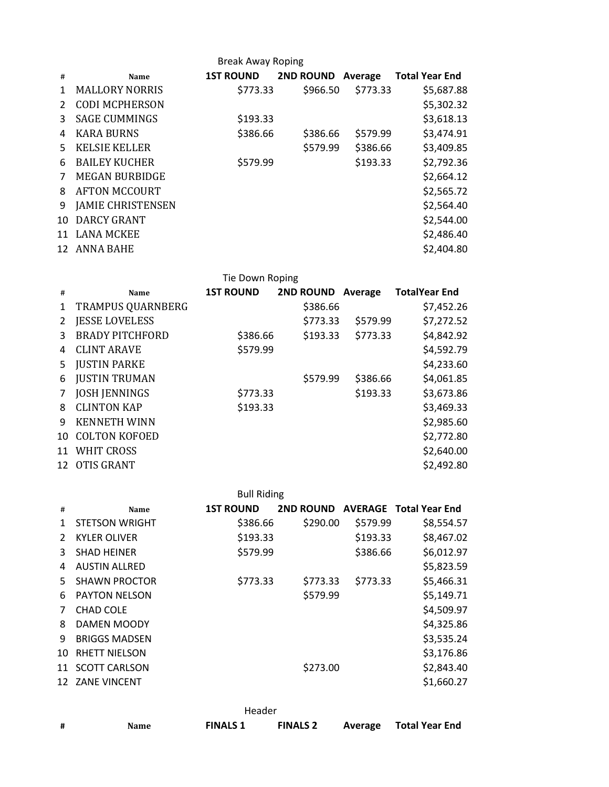|    | <b>Break Away Roping</b> |                  |                   |          |                       |  |  |
|----|--------------------------|------------------|-------------------|----------|-----------------------|--|--|
| #  | Name                     | <b>1ST ROUND</b> | 2ND ROUND Average |          | <b>Total Year End</b> |  |  |
| 1  | <b>MALLORY NORRIS</b>    | \$773.33         | \$966.50          | \$773.33 | \$5,687.88            |  |  |
|    | <b>CODI MCPHERSON</b>    |                  |                   |          | \$5,302.32            |  |  |
| २  | <b>SAGE CUMMINGS</b>     | \$193.33         |                   |          | \$3,618.13            |  |  |
| 4  | <b>KARA BURNS</b>        | \$386.66         | \$386.66          | \$579.99 | \$3,474.91            |  |  |
| 5. | <b>KELSIE KELLER</b>     |                  | \$579.99          | \$386.66 | \$3,409.85            |  |  |
| 6  | <b>BAILEY KUCHER</b>     | \$579.99         |                   | \$193.33 | \$2,792.36            |  |  |
| 7  | <b>MEGAN BURBIDGE</b>    |                  |                   |          | \$2,664.12            |  |  |
| 8  | <b>AFTON MCCOURT</b>     |                  |                   |          | \$2,565.72            |  |  |
| 9  | <b>JAMIE CHRISTENSEN</b> |                  |                   |          | \$2,564.40            |  |  |
| 10 | DARCY GRANT              |                  |                   |          | \$2,544.00            |  |  |
| 11 | <b>LANA MCKEE</b>        |                  |                   |          | \$2,486.40            |  |  |
| 12 | ANNA BAHE                |                  |                   |          | \$2,404.80            |  |  |

|                   | Tie Down Roping        |                  |                   |          |                      |  |  |
|-------------------|------------------------|------------------|-------------------|----------|----------------------|--|--|
| #                 | Name                   | <b>1ST ROUND</b> | 2ND ROUND Average |          | <b>TotalYear End</b> |  |  |
| $\mathbf{1}$      | TRAMPUS QUARNBERG      |                  | \$386.66          |          | \$7,452.26           |  |  |
| 2                 | <b>JESSE LOVELESS</b>  |                  | \$773.33          | \$579.99 | \$7,272.52           |  |  |
| 3                 | <b>BRADY PITCHFORD</b> | \$386.66         | \$193.33          | \$773.33 | \$4,842.92           |  |  |
| 4                 | <b>CLINT ARAVE</b>     | \$579.99         |                   |          | \$4,592.79           |  |  |
| 5.                | <b>JUSTIN PARKE</b>    |                  |                   |          | \$4,233.60           |  |  |
| 6                 | <b>JUSTIN TRUMAN</b>   |                  | \$579.99          | \$386.66 | \$4,061.85           |  |  |
| $\overline{7}$    | <b>JOSH JENNINGS</b>   | \$773.33         |                   | \$193.33 | \$3,673.86           |  |  |
| 8                 | <b>CLINTON KAP</b>     | \$193.33         |                   |          | \$3,469.33           |  |  |
| q                 | <b>KENNETH WINN</b>    |                  |                   |          | \$2,985.60           |  |  |
| 10                | <b>COLTON KOFOED</b>   |                  |                   |          | \$2,772.80           |  |  |
| 11                | <b>WHIT CROSS</b>      |                  |                   |          | \$2,640.00           |  |  |
| $12 \overline{ }$ | OTIS GRANT             |                  |                   |          | \$2,492.80           |  |  |
|                   |                        |                  |                   |          |                      |  |  |

|    | <b>Bull Riding</b>    |                  |          |          |                                  |  |  |
|----|-----------------------|------------------|----------|----------|----------------------------------|--|--|
| #  | Name                  | <b>1ST ROUND</b> |          |          | 2ND ROUND AVERAGE Total Year End |  |  |
| 1  | <b>STETSON WRIGHT</b> | \$386.66         | \$290.00 | \$579.99 | \$8,554.57                       |  |  |
|    | <b>KYLER OLIVER</b>   | \$193.33         |          | \$193.33 | \$8,467.02                       |  |  |
| २  | <b>SHAD HEINER</b>    | \$579.99         |          | \$386.66 | \$6,012.97                       |  |  |
| 4  | <b>AUSTIN ALLRED</b>  |                  |          |          | \$5,823.59                       |  |  |
| 5. | <b>SHAWN PROCTOR</b>  | \$773.33         | \$773.33 | \$773.33 | \$5,466.31                       |  |  |
| 6  | PAYTON NELSON         |                  | \$579.99 |          | \$5,149.71                       |  |  |
|    | <b>CHAD COLE</b>      |                  |          |          | \$4,509.97                       |  |  |
| 8  | <b>DAMEN MOODY</b>    |                  |          |          | \$4,325.86                       |  |  |
| q  | <b>BRIGGS MADSEN</b>  |                  |          |          | \$3,535.24                       |  |  |
| 10 | <b>RHETT NIELSON</b>  |                  |          |          | \$3,176.86                       |  |  |
| 11 | <b>SCOTT CARLSON</b>  |                  | \$273.00 |          | \$2,843.40                       |  |  |
|    | 12 ZANE VINCENT       |                  |          |          | \$1,660.27                       |  |  |
|    |                       |                  |          |          |                                  |  |  |

| Header |      |                 |                 |  |                        |  |
|--------|------|-----------------|-----------------|--|------------------------|--|
| #      | Name | <b>FINALS 1</b> | <b>FINALS 2</b> |  | Average Total Year End |  |